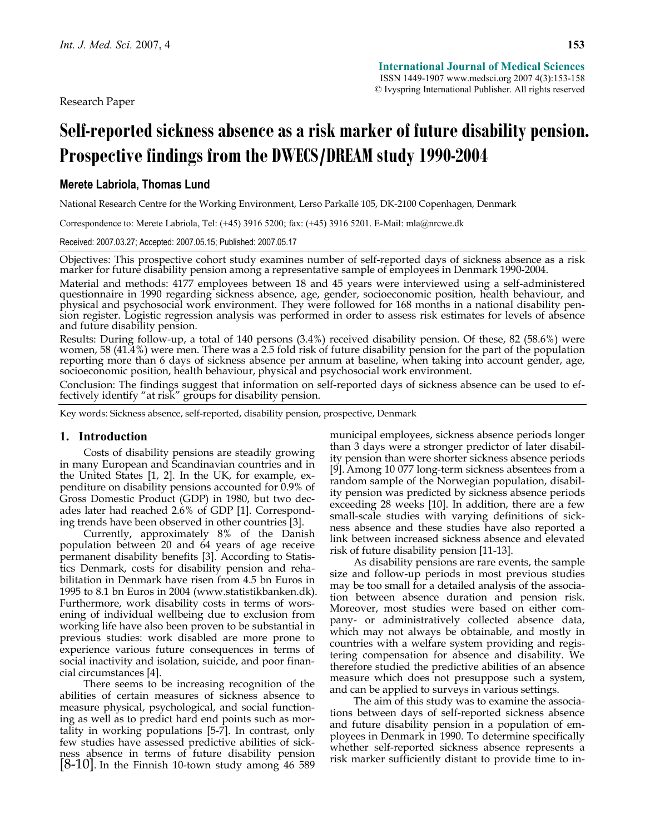Research Paper

# **Self-reported sickness absence as a risk marker of future disability pension. Prospective findings from the DWECS/DREAM study 1990-2004**

# **Merete Labriola, Thomas Lund**

National Research Centre for the Working Environment, Lerso Parkallé 105, DK-2100 Copenhagen, Denmark

Correspondence to: Merete Labriola, Tel: (+45) 3916 5200; fax: (+45) 3916 5201. E-Mail: mla@nrcwe.dk

Received: 2007.03.27; Accepted: 2007.05.15; Published: 2007.05.17

Objectives: This prospective cohort study examines number of self-reported days of sickness absence as a risk marker for future disability pension among a representative sample of employees in Denmark 1990-2004.

Material and methods: 4177 employees between 18 and 45 years were interviewed using a self-administered questionnaire in 1990 regarding sickness absence, age, gender, socioeconomic position, health behaviour, and physical and psychosocial work environment. They were followed for 168 months in a national disability pension register. Logistic regression analysis was performed in order to assess risk estimates for levels of absence and future disability pension.

Results: During follow-up, a total of 140 persons (3.4%) received disability pension. Of these, 82 (58.6%) were women, 58 (41.4%) were men. There was a 2.5 fold risk of future disability pension for the part of the population reporting more than 6 days of sickness absence per annum at baseline, when taking into account gender, age, socioeconomic position, health behaviour, physical and psychosocial work environment.

Conclusion: The findings suggest that information on self-reported days of sickness absence can be used to ef- fectively identify "at risk" groups for disability pension.

Key words: Sickness absence, self-reported, disability pension, prospective, Denmark

#### **1. Introduction**

Costs of disability pensions are steadily growing in many European and Scandinavian countries and in the United States [1, 2]. In the UK, for example, expenditure on disability pensions accounted for 0.9% of Gross Domestic Product (GDP) in 1980, but two decades later had reached 2.6% of GDP [1]. Corresponding trends have been observed in other countries [3].

Currently, approximately 8% of the Danish population between 20 and 64 years of age receive permanent disability benefits [3]. According to Statistics Denmark, costs for disability pension and rehabilitation in Denmark have risen from 4.5 bn Euros in 1995 to 8.1 bn Euros in 2004 (www.statistikbanken.dk). Furthermore, work disability costs in terms of worsening of individual wellbeing due to exclusion from working life have also been proven to be substantial in previous studies: work disabled are more prone to experience various future consequences in terms of social inactivity and isolation, suicide, and poor financial circumstances [4].

There seems to be increasing recognition of the abilities of certain measures of sickness absence to measure physical, psychological, and social functioning as well as to predict hard end points such as mortality in working populations [5-7]. In contrast, only few studies have assessed predictive abilities of sickness absence in terms of future disability pension  $[8-10]$ . In the Finnish 10-town study among 46 589 municipal employees, sickness absence periods longer than 3 days were a stronger predictor of later disability pension than were shorter sickness absence periods [9]. Among 10 077 long-term sickness absentees from a random sample of the Norwegian population, disability pension was predicted by sickness absence periods exceeding 28 weeks [10]. In addition, there are a few small-scale studies with varying definitions of sickness absence and these studies have also reported a link between increased sickness absence and elevated risk of future disability pension [11-13].

As disability pensions are rare events, the sample size and follow-up periods in most previous studies may be too small for a detailed analysis of the association between absence duration and pension risk. Moreover, most studies were based on either company- or administratively collected absence data, which may not always be obtainable, and mostly in countries with a welfare system providing and registering compensation for absence and disability. We therefore studied the predictive abilities of an absence measure which does not presuppose such a system, and can be applied to surveys in various settings.

The aim of this study was to examine the associations between days of self-reported sickness absence and future disability pension in a population of employees in Denmark in 1990. To determine specifically whether self-reported sickness absence represents a risk marker sufficiently distant to provide time to in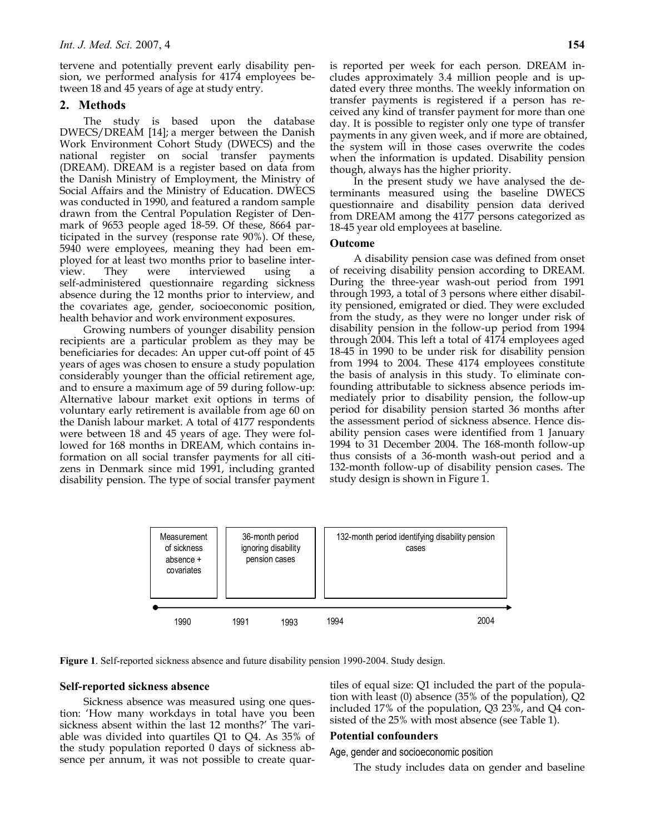tervene and potentially prevent early disability pension, we performed analysis for 4174 employees between 18 and 45 years of age at study entry.

# **2. Methods**

The study is based upon the database DWECS/DREAM [14]; a merger between the Danish Work Environment Cohort Study (DWECS) and the national register on social transfer payments (DREAM). DREAM is a register based on data from the Danish Ministry of Employment, the Ministry of Social Affairs and the Ministry of Education. DWECS was conducted in 1990, and featured a random sample drawn from the Central Population Register of Denmark of 9653 people aged 18-59. Of these, 8664 participated in the survey (response rate 90%). Of these, 5940 were employees, meaning they had been employed for at least two months prior to baseline interview. They were interviewed using a self-administered questionnaire regarding sickness absence during the 12 months prior to interview, and the covariates age, gender, socioeconomic position, health behavior and work environment exposures.

Growing numbers of younger disability pension recipients are a particular problem as they may be beneficiaries for decades: An upper cut-off point of 45 years of ages was chosen to ensure a study population considerably younger than the official retirement age, and to ensure a maximum age of 59 during follow-up: Alternative labour market exit options in terms of voluntary early retirement is available from age 60 on the Danish labour market. A total of 4177 respondents were between 18 and 45 years of age. They were followed for 168 months in DREAM, which contains information on all social transfer payments for all citizens in Denmark since mid 1991, including granted disability pension. The type of social transfer payment is reported per week for each person. DREAM includes approximately 3.4 million people and is updated every three months. The weekly information on transfer payments is registered if a person has received any kind of transfer payment for more than one day. It is possible to register only one type of transfer payments in any given week, and if more are obtained, the system will in those cases overwrite the codes when the information is updated. Disability pension though, always has the higher priority.

In the present study we have analysed the determinants measured using the baseline DWECS questionnaire and disability pension data derived from DREAM among the 4177 persons categorized as 18-45 year old employees at baseline.

# **Outcome**

A disability pension case was defined from onset of receiving disability pension according to DREAM. During the three-year wash-out period from 1991 through 1993, a total of 3 persons where either disability pensioned, emigrated or died. They were excluded from the study, as they were no longer under risk of disability pension in the follow-up period from 1994 through 2004. This left a total of 4174 employees aged 18-45 in 1990 to be under risk for disability pension from 1994 to 2004. These 4174 employees constitute the basis of analysis in this study. To eliminate confounding attributable to sickness absence periods immediately prior to disability pension, the follow-up period for disability pension started 36 months after the assessment period of sickness absence. Hence disability pension cases were identified from 1 January 1994 to 31 December 2004. The 168-month follow-up thus consists of a 36-month wash-out period and a 132-month follow-up of disability pension cases. The study design is shown in Figure 1.



**Figure 1**. Self-reported sickness absence and future disability pension 1990-2004. Study design.

# **Self-reported sickness absence**

Sickness absence was measured using one question: 'How many workdays in total have you been sickness absent within the last 12 months?' The variable was divided into quartiles Q1 to Q4. As 35% of the study population reported 0 days of sickness absence per annum, it was not possible to create quartiles of equal size: Q1 included the part of the population with least (0) absence (35% of the population), Q2 included 17% of the population, Q3 23%, and Q4 consisted of the 25% with most absence (see Table 1).

# **Potential confounders**

Age, gender and socioeconomic position

The study includes data on gender and baseline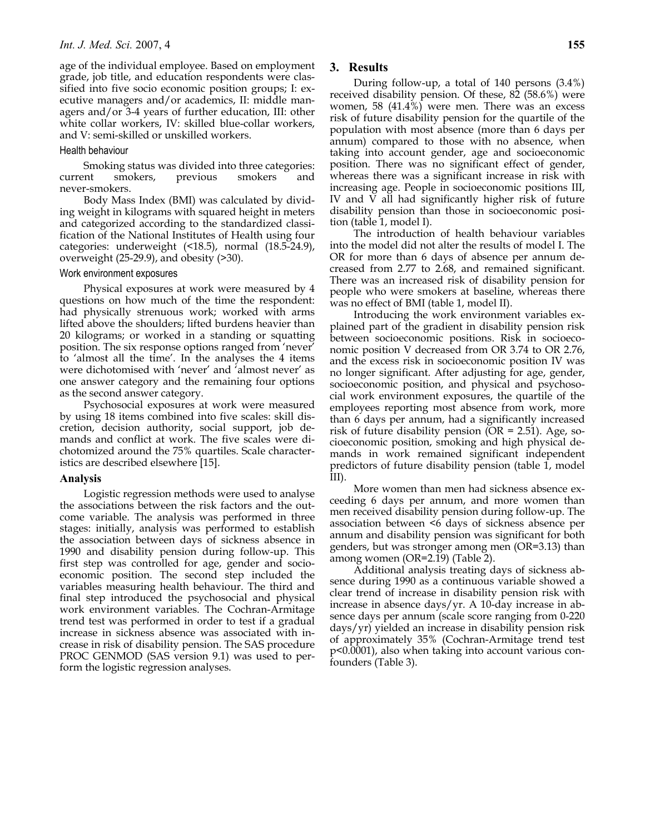age of the individual employee. Based on employment grade, job title, and education respondents were classified into five socio economic position groups; I: executive managers and/or academics, II: middle managers and/or 3-4 years of further education, III: other white collar workers, IV: skilled blue-collar workers, and V: semi-skilled or unskilled workers.

### Health behaviour

Smoking status was divided into three categories: current smokers, previous smokers and never-smokers.

Body Mass Index (BMI) was calculated by dividing weight in kilograms with squared height in meters and categorized according to the standardized classification of the National Institutes of Health using four categories: underweight (<18.5), normal (18.5-24.9), overweight (25-29.9), and obesity (>30).

#### Work environment exposures

Physical exposures at work were measured by 4 questions on how much of the time the respondent: had physically strenuous work; worked with arms lifted above the shoulders; lifted burdens heavier than 20 kilograms; or worked in a standing or squatting position. The six response options ranged from 'never' to 'almost all the time'. In the analyses the 4 items were dichotomised with 'never' and 'almost never' as one answer category and the remaining four options as the second answer category.

Psychosocial exposures at work were measured by using 18 items combined into five scales: skill discretion, decision authority, social support, job demands and conflict at work. The five scales were dichotomized around the 75% quartiles. Scale characteristics are described elsewhere [15].

# **Analysis**

Logistic regression methods were used to analyse the associations between the risk factors and the outcome variable. The analysis was performed in three stages: initially, analysis was performed to establish the association between days of sickness absence in 1990 and disability pension during follow-up. This first step was controlled for age, gender and socioeconomic position. The second step included the variables measuring health behaviour. The third and final step introduced the psychosocial and physical work environment variables. The Cochran-Armitage trend test was performed in order to test if a gradual increase in sickness absence was associated with increase in risk of disability pension. The SAS procedure PROC GENMOD (SAS version 9.1) was used to perform the logistic regression analyses.

### **3. Results**

During follow-up, a total of 140 persons (3.4%) received disability pension. Of these, 82 (58.6%) were women, 58 (41.4%) were men. There was an excess risk of future disability pension for the quartile of the population with most absence (more than 6 days per annum) compared to those with no absence, when taking into account gender, age and socioeconomic position. There was no significant effect of gender, whereas there was a significant increase in risk with increasing age. People in socioeconomic positions III, IV and V all had significantly higher risk of future disability pension than those in socioeconomic position (table 1, model I).

The introduction of health behaviour variables into the model did not alter the results of model I. The OR for more than 6 days of absence per annum decreased from 2.77 to 2.68, and remained significant. There was an increased risk of disability pension for people who were smokers at baseline, whereas there was no effect of BMI (table 1, model II).

Introducing the work environment variables explained part of the gradient in disability pension risk between socioeconomic positions. Risk in socioeconomic position V decreased from OR 3.74 to OR 2.76, and the excess risk in socioeconomic position IV was no longer significant. After adjusting for age, gender, socioeconomic position, and physical and psychosocial work environment exposures, the quartile of the employees reporting most absence from work, more than 6 days per annum, had a significantly increased risk of future disability pension ( $OR = 2.51$ ). Age, socioeconomic position, smoking and high physical demands in work remained significant independent predictors of future disability pension (table 1, model III).

More women than men had sickness absence exceeding 6 days per annum, and more women than men received disability pension during follow-up. The association between <6 days of sickness absence per annum and disability pension was significant for both genders, but was stronger among men (OR=3.13) than among women (OR=2.19) (Table 2).

Additional analysis treating days of sickness absence during 1990 as a continuous variable showed a clear trend of increase in disability pension risk with increase in absence days/yr. A 10-day increase in absence days per annum (scale score ranging from 0-220 days/yr) yielded an increase in disability pension risk of approximately 35% (Cochran-Armitage trend test p<0.0001), also when taking into account various confounders (Table 3).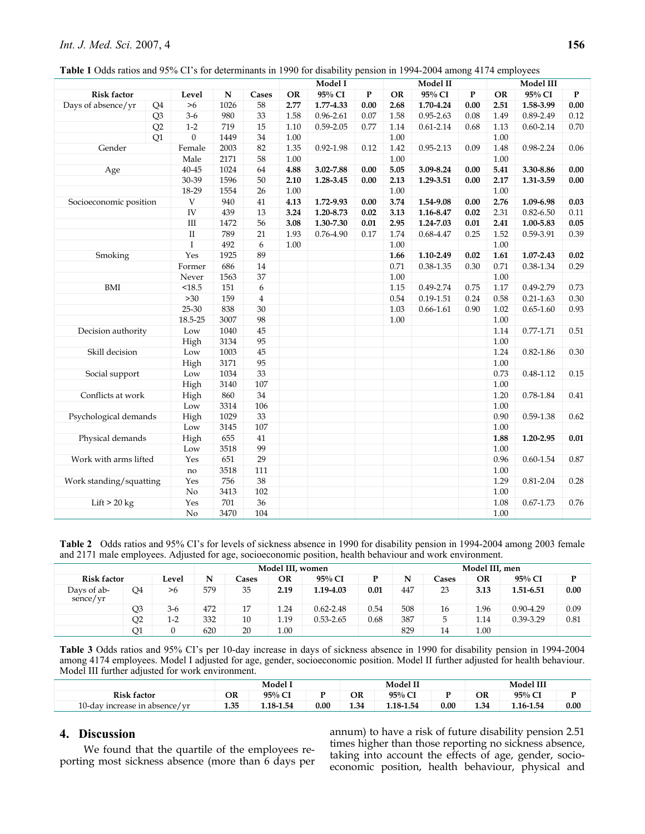| Table 1 Odds ratios and 95% CI's for determinants in 1990 for disability pension in 1994-2004 among 4174 employees |  |  |
|--------------------------------------------------------------------------------------------------------------------|--|--|
|--------------------------------------------------------------------------------------------------------------------|--|--|

|                         |                |                  |           |                         | Model I  |               |      |           | Model II      |          | Model III |               |           |  |
|-------------------------|----------------|------------------|-----------|-------------------------|----------|---------------|------|-----------|---------------|----------|-----------|---------------|-----------|--|
| <b>Risk factor</b>      |                | Level            | ${\bf N}$ | Cases                   | OR       | 95% CI        | P    | <b>OR</b> | 95% CI        | P        | <b>OR</b> | 95% CI        | ${\bf P}$ |  |
| Days of absence/yr      | Q4             | $>6$             | 1026      | 58                      | 2.77     | 1.77-4.33     | 0.00 | 2.68      | 1.70-4.24     | $0.00\,$ | 2.51      | 1.58-3.99     | $0.00\,$  |  |
|                         | Q <sub>3</sub> | $3-6$            | 980       | 33                      | 1.58     | $0.96 - 2.61$ | 0.07 | 1.58      | $0.95 - 2.63$ | 0.08     | 1.49      | 0.89-2.49     | 0.12      |  |
|                         | Q2             | $1-2$            | 719       | 15                      | 1.10     | $0.59 - 2.05$ | 0.77 | 1.14      | $0.61 - 2.14$ | 0.68     | 1.13      | $0.60 - 2.14$ | $0.70\,$  |  |
|                         | Q1             | $\boldsymbol{0}$ | 1449      | $34\,$                  | $1.00\,$ |               |      | 1.00      |               |          | $1.00\,$  |               |           |  |
| Gender                  |                | Female           | 2003      | 82                      | 1.35     | $0.92 - 1.98$ | 0.12 | 1.42      | $0.95 - 2.13$ | 0.09     | 1.48      | 0.98-2.24     | 0.06      |  |
|                         |                | Male             | 2171      | 58                      | $1.00\,$ |               |      | 1.00      |               |          | $1.00\,$  |               |           |  |
| Age                     |                | $40 - 45$        | 1024      | 64                      | 4.88     | 3.02-7.88     | 0.00 | 5.05      | 3.09-8.24     | 0.00     | 5.41      | 3.30-8.86     | 0.00      |  |
|                         |                | 30-39            | 1596      | 50                      | 2.10     | 1.28-3.45     | 0.00 | 2.13      | 1.29-3.51     | 0.00     | 2.17      | 1.31-3.59     | 0.00      |  |
|                         |                | 18-29            | 1554      | $26\,$                  | $1.00\,$ |               |      | 1.00      |               |          | 1.00      |               |           |  |
| Socioeconomic position  |                | $\mathbf V$      | 940       | 41                      | 4.13     | 1.72-9.93     | 0.00 | 3.74      | 1.54-9.08     | 0.00     | 2.76      | 1.09-6.98     | $0.03\,$  |  |
|                         |                | IV               | 439       | 13                      | 3.24     | 1.20-8.73     | 0.02 | 3.13      | 1.16-8.47     | 0.02     | 2.31      | $0.82 - 6.50$ | 0.11      |  |
|                         |                | $\rm III$        | 1472      | 56                      | 3.08     | 1.30-7.30     | 0.01 | 2.95      | 1.24-7.03     | 0.01     | 2.41      | 1.00-5.83     | $0.05\,$  |  |
|                         |                | $\rm II$         | 789       | 21                      | 1.93     | 0.76-4.90     | 0.17 | 1.74      | 0.68-4.47     | 0.25     | 1.52      | 0.59-3.91     | 0.39      |  |
|                         |                | $\mathbf I$      | 492       | 6                       | 1.00     |               |      | 1.00      |               |          | 1.00      |               |           |  |
| Smoking                 |                | Yes              | 1925      | 89                      |          |               |      | 1.66      | 1.10-2.49     | 0.02     | 1.61      | 1.07-2.43     | 0.02      |  |
|                         |                | Former           | 686       | 14                      |          |               |      | 0.71      | $0.38 - 1.35$ | 0.30     | 0.71      | 0.38-1.34     | 0.29      |  |
|                         |                | Never            | 1563      | $37\,$                  |          |               |      | 1.00      |               |          | 1.00      |               |           |  |
| BMI                     |                | <18.5            | 151       | 6                       |          |               |      | 1.15      | 0.49-2.74     | 0.75     | 1.17      | 0.49-2.79     | 0.73      |  |
|                         |                | >30              | 159       | $\overline{\mathbf{4}}$ |          |               |      | 0.54      | $0.19 - 1.51$ | 0.24     | 0.58      | $0.21 - 1.63$ | 0.30      |  |
|                         |                | 25-30            | 838       | 30                      |          |               |      | 1.03      | $0.66 - 1.61$ | 0.90     | 1.02      | $0.65 - 1.60$ | 0.93      |  |
|                         |                | 18.5-25          | 3007      | 98                      |          |               |      | 1.00      |               |          | 1.00      |               |           |  |
| Decision authority      |                | Low              | 1040      | 45                      |          |               |      |           |               |          | 1.14      | $0.77 - 1.71$ | 0.51      |  |
|                         |                | High             | 3134      | 95                      |          |               |      |           |               |          | 1.00      |               |           |  |
| Skill decision          |                | Low              | 1003      | 45                      |          |               |      |           |               |          | 1.24      | $0.82 - 1.86$ | 0.30      |  |
|                         |                | High             | 3171      | 95                      |          |               |      |           |               |          | $1.00\,$  |               |           |  |
| Social support          |                | Low              | 1034      | 33                      |          |               |      |           |               |          | 0.73      | $0.48 - 1.12$ | $0.15\,$  |  |
|                         |                | High             | 3140      | 107                     |          |               |      |           |               |          | 1.00      |               |           |  |
| Conflicts at work       |                | High             | 860       | 34                      |          |               |      |           |               |          | 1.20      | 0.78-1.84     | 0.41      |  |
|                         |                | Low              | 3314      | 106                     |          |               |      |           |               |          | 1.00      |               |           |  |
| Psychological demands   |                | High             | 1029      | 33                      |          |               |      |           |               |          | 0.90      | 0.59-1.38     | 0.62      |  |
|                         |                | Low              | 3145      | 107                     |          |               |      |           |               |          | 1.00      |               |           |  |
| Physical demands        |                | High             | 655       | 41                      |          |               |      |           |               |          | 1.88      | 1.20-2.95     | $0.01\,$  |  |
|                         |                | Low              | 3518      | 99                      |          |               |      |           |               |          | 1.00      |               |           |  |
| Work with arms lifted   |                | Yes              | 651       | 29                      |          |               |      |           |               |          | 0.96      | $0.60 - 1.54$ | $0.87\,$  |  |
|                         |                | no               | 3518      | 111                     |          |               |      |           |               |          | 1.00      |               |           |  |
| Work standing/squatting |                | Yes              | 756       | 38                      |          |               |      |           |               |          | 1.29      | $0.81 - 2.04$ | 0.28      |  |
|                         |                | $\rm No$         | 3413      | 102                     |          |               |      |           |               |          | 1.00      |               |           |  |
| Lift $> 20$ kg          |                | Yes              | $701\,$   | 36                      |          |               |      |           |               |          | 1.08      | $0.67 - 1.73$ | 0.76      |  |
|                         |                | No               | 3470      | 104                     |          |               |      |           |               |          | 1.00      |               |           |  |

**Table 2** Odds ratios and 95% CI's for levels of sickness absence in 1990 for disability pension in 1994-2004 among 2003 female and 2171 male employees. Adjusted for age, socioeconomic position, health behaviour and work environment.

|                         |    |       | Model III, women |       |          |               |      |     | Model III, men |      |               |      |  |  |  |
|-------------------------|----|-------|------------------|-------|----------|---------------|------|-----|----------------|------|---------------|------|--|--|--|
| <b>Risk factor</b>      |    | Level | N                | Cases | OR       | 95% CI        |      | N   | Cases          | OR   | 95% CI        | D    |  |  |  |
| Days of ab-<br>sence/yr | Q4 | >6    | 579              | 35    | 2.19     | 1.19-4.03     | 0.01 | 447 | 23             | 3.13 | 1.51-6.51     | 0.00 |  |  |  |
|                         | Q3 | $3-6$ | 472              | 17    | 1.24     | $0.62 - 2.48$ | 0.54 | 508 | 16             | 1.96 | $0.90 - 4.29$ | 0.09 |  |  |  |
|                         | Q2 | $1-2$ | 332              | 10    | 1.19     | $0.53 - 2.65$ | 0.68 | 387 | C              | 1.14 | 0.39-3.29     | 0.81 |  |  |  |
|                         | Q1 |       | 620              | 20    | $1.00\,$ |               |      | 829 | 14             | 1.00 |               |      |  |  |  |

**Table 3** Odds ratios and 95% CI's per 10-day increase in days of sickness absence in 1990 for disability pension in 1994-2004 among 4174 employees. Model I adjusted for age, gender, socioeconomic position. Model II further adjusted for health behaviour. Model III further adjusted for work environment.

|                                          |      | Model I   |      |      | <b>Model II</b> |      | Model III          |           |      |
|------------------------------------------|------|-----------|------|------|-----------------|------|--------------------|-----------|------|
| <b>Risk factor</b>                       | OR   | 95% C     |      | OR   | 95%<br>$\sim$   |      | OR                 | 95% CI    |      |
| y increase in absence/yr<br>$\pm 0$ -dav | 1.35 | 1.18-1.54 | 0.00 | 1.34 | $.18 - 1.54$    | 0.00 | 1.34<br>$\sim$ $-$ | 1.16-1.54 | 0.00 |

# **4. Discussion**

We found that the quartile of the employees reporting most sickness absence (more than 6 days per annum) to have a risk of future disability pension 2.51 times higher than those reporting no sickness absence, taking into account the effects of age, gender, socioeconomic position, health behaviour, physical and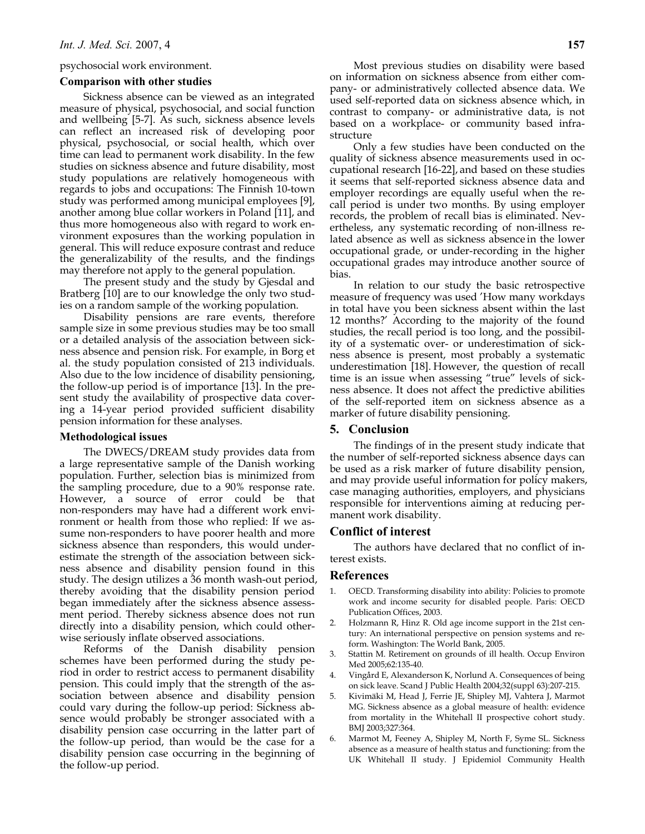#### psychosocial work environment.

#### **Comparison with other studies**

Sickness absence can be viewed as an integrated measure of physical, psychosocial, and social function and wellbeing [5-7]. As such, sickness absence levels can reflect an increased risk of developing poor physical, psychosocial, or social health, which over time can lead to permanent work disability. In the few studies on sickness absence and future disability, most study populations are relatively homogeneous with regards to jobs and occupations: The Finnish 10-town study was performed among municipal employees [9], another among blue collar workers in Poland [11], and thus more homogeneous also with regard to work environment exposures than the working population in general. This will reduce exposure contrast and reduce the generalizability of the results, and the findings may therefore not apply to the general population.

The present study and the study by Gjesdal and Bratberg [10] are to our knowledge the only two studies on a random sample of the working population.

Disability pensions are rare events, therefore sample size in some previous studies may be too small or a detailed analysis of the association between sickness absence and pension risk. For example, in Borg et al. the study population consisted of 213 individuals. Also due to the low incidence of disability pensioning, the follow-up period is of importance [13]. In the present study the availability of prospective data covering a 14-year period provided sufficient disability pension information for these analyses.

#### **Methodological issues**

The DWECS/DREAM study provides data from a large representative sample of the Danish working population. Further, selection bias is minimized from the sampling procedure, due to a 90% response rate. However, a source of error could be that non-responders may have had a different work environment or health from those who replied: If we assume non-responders to have poorer health and more sickness absence than responders, this would underestimate the strength of the association between sickness absence and disability pension found in this study. The design utilizes a 36 month wash-out period, thereby avoiding that the disability pension period began immediately after the sickness absence assessment period. Thereby sickness absence does not run directly into a disability pension, which could otherwise seriously inflate observed associations.

Reforms of the Danish disability pension schemes have been performed during the study period in order to restrict access to permanent disability pension. This could imply that the strength of the association between absence and disability pension could vary during the follow-up period: Sickness absence would probably be stronger associated with a disability pension case occurring in the latter part of the follow-up period, than would be the case for a disability pension case occurring in the beginning of the follow-up period.

Most previous studies on disability were based on information on sickness absence from either company- or administratively collected absence data. We used self-reported data on sickness absence which, in contrast to company- or administrative data, is not based on a workplace- or community based infrastructure

Only a few studies have been conducted on the quality of sickness absence measurements used in occupational research [16-22], and based on these studies it seems that self-reported sickness absence data and employer recordings are equally useful when the recall period is under two months. By using employer records, the problem of recall bias is eliminated. Nevertheless, any systematic recording of non-illness related absence as well as sickness absence in the lower occupational grade, or under-recording in the higher occupational grades may introduce another source of bias.

In relation to our study the basic retrospective measure of frequency was used 'How many workdays in total have you been sickness absent within the last 12 months?' According to the majority of the found studies, the recall period is too long, and the possibility of a systematic over- or underestimation of sickness absence is present, most probably a systematic underestimation [18]. However, the question of recall time is an issue when assessing "true" levels of sickness absence. It does not affect the predictive abilities of the self-reported item on sickness absence as a marker of future disability pensioning.

#### **5. Conclusion**

The findings of in the present study indicate that the number of self-reported sickness absence days can be used as a risk marker of future disability pension, and may provide useful information for policy makers, case managing authorities, employers, and physicians responsible for interventions aiming at reducing permanent work disability.

### **Conflict of interest**

The authors have declared that no conflict of interest exists.

# **References**

- 1. OECD. Transforming disability into ability: Policies to promote work and income security for disabled people. Paris: OECD Publication Offices, 2003.
- 2. Holzmann R, Hinz R. Old age income support in the 21st century: An international perspective on pension systems and reform. Washington: The World Bank, 2005.
- 3. Stattin M. Retirement on grounds of ill health. Occup Environ Med 2005;62:135-40.
- 4. Vingård E, Alexanderson K, Norlund A. Consequences of being on sick leave. Scand J Public Health 2004;32(suppl 63):207-215.
- 5. Kivimäki M, Head J, Ferrie JE, Shipley MJ, Vahtera J, Marmot MG. Sickness absence as a global measure of health: evidence from mortality in the Whitehall II prospective cohort study. BMJ 2003;327:364.
- 6. Marmot M, Feeney A, Shipley M, North F, Syme SL. Sickness absence as a measure of health status and functioning: from the UK Whitehall II study. J Epidemiol Community Health